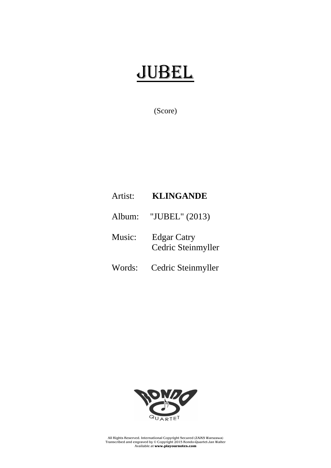## JUBEL

(Score)

## Artist: **KLINGANDE**

Album: "JUBEL" (2013)

Music: Edgar Catry Cedric Steinmyller

Words: Cedric Steinmyller



All Rights Reserved. International Copyright Secured (ZAiKS Warszawa) Transcribed and engraved by © Copyright 2015 Rondo-Quartet-Jan Walter Available at **www.playournotes.com**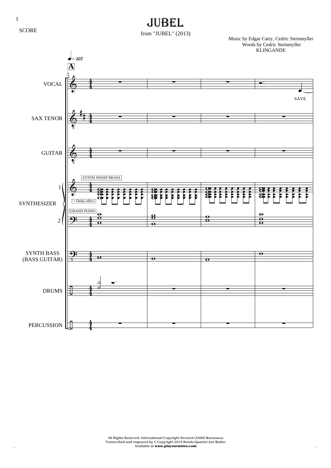1

**SCORE** 

## JUBEL

from "JUBEL" (2013)

Music by Edgar Catry, Cedric Steinmyller Words by Cedric Steinmyller **KLINGANDE**